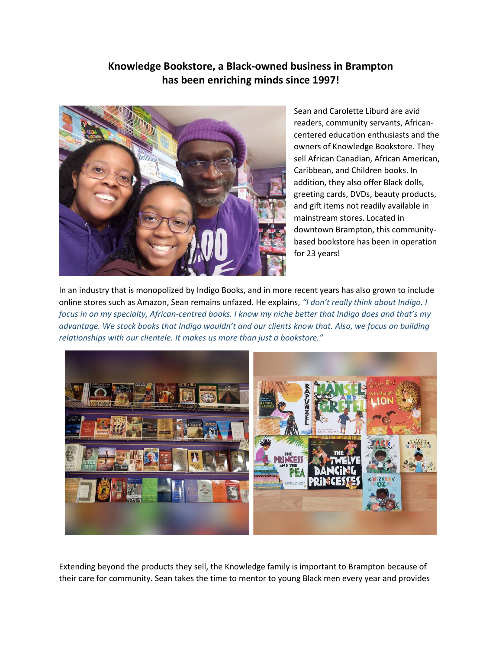## Knowledge Bookstore, a Black-owned business in Brampton has been enriching minds since 1997!



Sean and Carolette Liburd are avid readers, community servants, Africancentered education enthusiasts and the owners of Knowledge Bookstore. They sell African Canadian, African American, Caribbean, and Children books. In addition, they also offer Black dolls, greeting cards, DVDs, beauty products, and gift items not readily available in mainstream stores. Located in downtown Brampton, this communitybased bookstore has been in operation for 23 years!

In an industry that is monopolized by Indigo Books, and in more recent years has also grown to include online stores such as Amazon, Sean remains unfazed. He explains, "I don't really think about Indigo. I focus in on my specialty, African-centred books. I know my niche better that Indigo does and that's my advantage. We stock books that Indigo wouldn't and our clients know that. Also, we focus on building relationships with our clientele. It makes us more than just a bookstore."



Extending beyond the products they sell, the Knowledge family is important to Brampton because of their care for community. Sean takes the time to mentor to young Black men every year and provides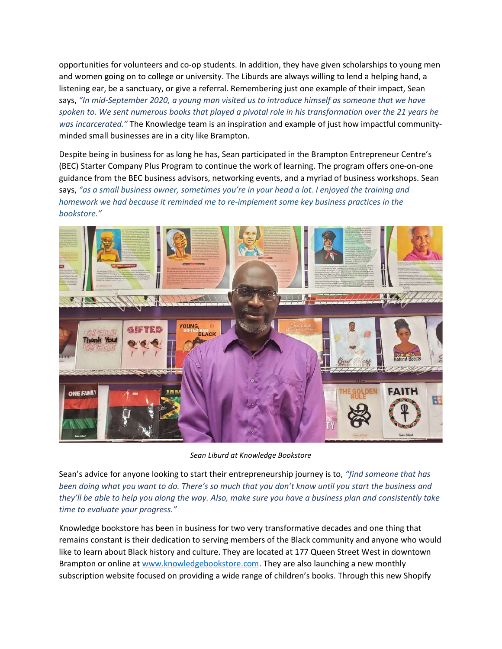opportunities for volunteers and co-op students. In addition, they have given scholarships to young men and women going on to college or university. The Liburds are always willing to lend a helping hand, a listening ear, be a sanctuary, or give a referral. Remembering just one example of their impact, Sean says, "In mid-September 2020, a young man visited us to introduce himself as someone that we have spoken to. We sent numerous books that played a pivotal role in his transformation over the 21 years he was incarcerated." The Knowledge team is an inspiration and example of just how impactful communityminded small businesses are in a city like Brampton.

Despite being in business for as long he has, Sean participated in the Brampton Entrepreneur Centre's (BEC) Starter Company Plus Program to continue the work of learning. The program offers one-on-one guidance from the BEC business advisors, networking events, and a myriad of business workshops. Sean says, "as a small business owner, sometimes you're in your head a lot. I enjoyed the training and homework we had because it reminded me to re-implement some key business practices in the bookstore."



Sean Liburd at Knowledge Bookstore

Sean's advice for anyone looking to start their entrepreneurship journey is to, "find someone that has been doing what you want to do. There's so much that you don't know until you start the business and they'll be able to help you along the way. Also, make sure you have a business plan and consistently take time to evaluate your progress."

Knowledge bookstore has been in business for two very transformative decades and one thing that remains constant is their dedication to serving members of the Black community and anyone who would like to learn about Black history and culture. They are located at 177 Queen Street West in downtown Brampton or online at www.knowledgebookstore.com. They are also launching a new monthly subscription website focused on providing a wide range of children's books. Through this new Shopify